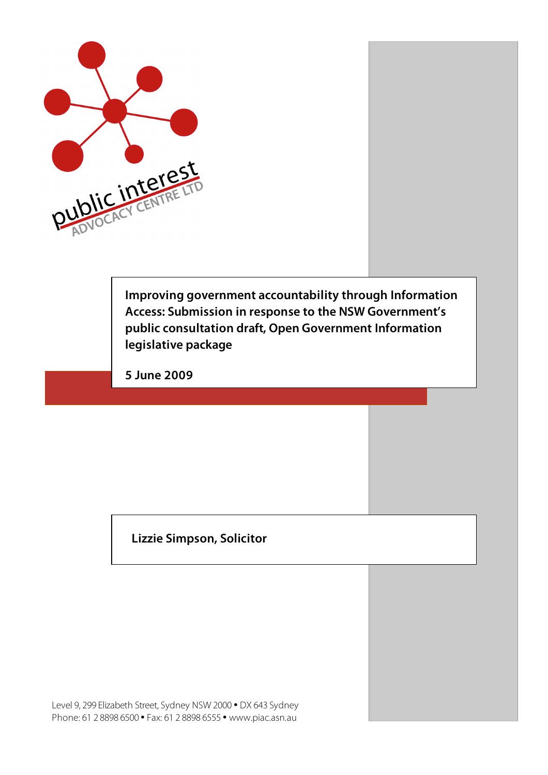

**Improving government accountability through Information Access: Submission in response to the NSW Government's public consultation draft, Open Government Information legislative package**

**5 June 2009**

## **Lizzie Simpson, Solicitor**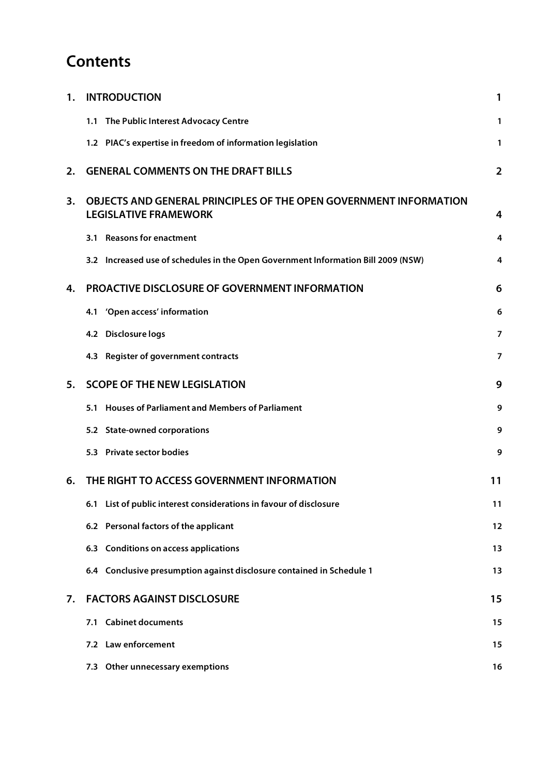# **Contents**

| 1. | <b>INTRODUCTION</b>                                                                               | 1              |
|----|---------------------------------------------------------------------------------------------------|----------------|
|    | 1.1 The Public Interest Advocacy Centre                                                           | 1              |
|    | 1.2 PIAC's expertise in freedom of information legislation                                        | 1              |
| 2. | <b>GENERAL COMMENTS ON THE DRAFT BILLS</b>                                                        | $\overline{2}$ |
| 3. | OBJECTS AND GENERAL PRINCIPLES OF THE OPEN GOVERNMENT INFORMATION<br><b>LEGISLATIVE FRAMEWORK</b> | 4              |
|    | <b>Reasons for enactment</b><br>3.1                                                               | 4              |
|    | 3.2 Increased use of schedules in the Open Government Information Bill 2009 (NSW)                 | 4              |
| 4. | PROACTIVE DISCLOSURE OF GOVERNMENT INFORMATION                                                    | 6              |
|    | 4.1 'Open access' information                                                                     | 6              |
|    | 4.2 Disclosure logs                                                                               | 7              |
|    | 4.3 Register of government contracts                                                              | $\overline{7}$ |
| 5. | <b>SCOPE OF THE NEW LEGISLATION</b>                                                               | 9              |
|    | 5.1 Houses of Parliament and Members of Parliament                                                | 9              |
|    | 5.2 State-owned corporations                                                                      | 9              |
|    | 5.3 Private sector bodies                                                                         | 9              |
| 6. | THE RIGHT TO ACCESS GOVERNMENT INFORMATION                                                        | 11             |
|    | 6.1 List of public interest considerations in favour of disclosure                                | 11             |
|    | 6.2 Personal factors of the applicant                                                             | 12             |
|    | 6.3 Conditions on access applications                                                             | 13             |
|    | 6.4 Conclusive presumption against disclosure contained in Schedule 1                             | 13             |
| 7. | <b>FACTORS AGAINST DISCLOSURE</b>                                                                 | 15             |
|    | 7.1 Cabinet documents                                                                             | 15             |
|    | 7.2 Law enforcement                                                                               | 15             |
|    | 7.3 Other unnecessary exemptions                                                                  | 16             |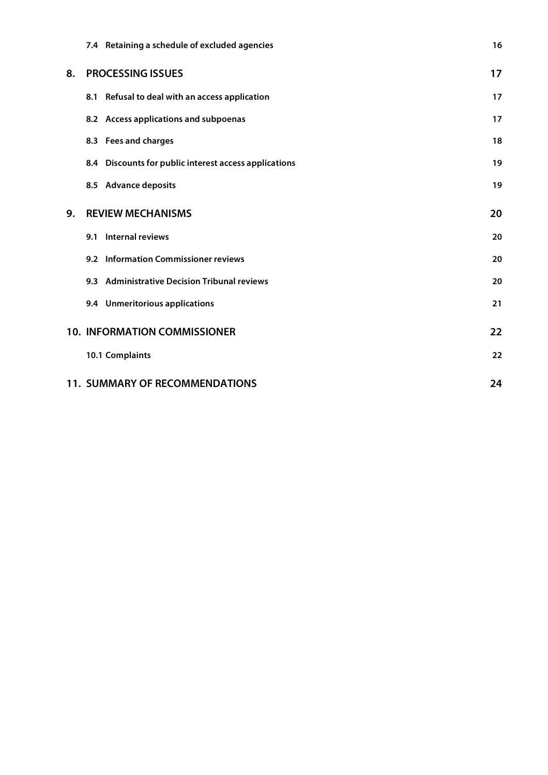|    | 7.4 Retaining a schedule of excluded agencies         | 16 |
|----|-------------------------------------------------------|----|
| 8. | <b>PROCESSING ISSUES</b>                              | 17 |
|    | 8.1 Refusal to deal with an access application        | 17 |
|    | 8.2 Access applications and subpoenas                 | 17 |
|    | 8.3 Fees and charges                                  | 18 |
|    | 8.4 Discounts for public interest access applications | 19 |
|    | 8.5 Advance deposits                                  | 19 |
| 9. | <b>REVIEW MECHANISMS</b>                              | 20 |
|    | 9.1 Internal reviews                                  | 20 |
|    | 9.2 Information Commissioner reviews                  | 20 |
|    | 9.3 Administrative Decision Tribunal reviews          | 20 |
|    | 9.4 Unmeritorious applications                        | 21 |
|    | <b>10. INFORMATION COMMISSIONER</b>                   | 22 |
|    | 10.1 Complaints                                       | 22 |
|    | <b>11. SUMMARY OF RECOMMENDATIONS</b>                 | 24 |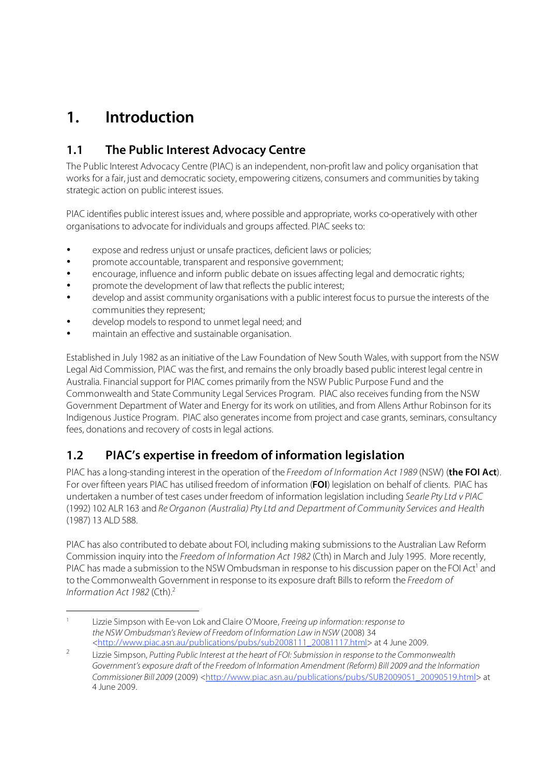# **1. Introduction**

## **1.1 The Public Interest Advocacy Centre**

The Public Interest Advocacy Centre (PIAC) is an independent, non-profit law and policy organisation that works for a fair, just and democratic society, empowering citizens, consumers and communities by taking strategic action on public interest issues.

PIAC identifies public interest issues and, where possible and appropriate, works co-operatively with other organisations to advocate for individuals and groups affected. PIAC seeks to:

- expose and redress uniust or unsafe practices, deficient laws or policies;
- promote accountable, transparent and responsive government;
- encourage, influence and inform public debate on issues affecting legal and democratic rights;
- promote the development of law that reflects the public interest;
- develop and assist community organisations with a public interest focus to pursue the interests of the communities they represent;
- develop models to respond to unmet legal need; and
- maintain an effective and sustainable organisation.

Established in July 1982 as an initiative of the Law Foundation of New South Wales, with support from the NSW Legal Aid Commission, PIAC was the first, and remains the only broadly based public interest legal centre in Australia. Financial support for PIAC comes primarily from the NSW Public Purpose Fund and the Commonwealth and State Community Legal Services Program. PIAC also receives funding from the NSW Government Department of Water and Energy for its work on utilities, and from Allens Arthur Robinson for its Indigenous Justice Program. PIAC also generates income from project and case grants, seminars, consultancy fees, donations and recovery of costs in legal actions.

## **1.2 PIAC's expertise in freedom of information legislation**

PIAC has a long-standing interest in the operation of the Freedom of Information Act 1989 (NSW) (**the FOI Act**). For over fifteen years PIAC has utilised freedom of information (**FOI**) legislation on behalf of clients. PIAC has undertaken a number of test cases under freedom of information legislation including Searle Pty Ltd v PIAC (1992) 102 ALR 163 and Re Organon (Australia) Pty Ltd and Department of Community Services and Health (1987) 13 ALD 588.

PIAC has also contributed to debate about FOI, including making submissions to the Australian Law Reform Commission inquiry into the Freedom of Information Act 1982 (Cth) in March and July 1995. More recently, PIAC has made a submission to the NSW Ombudsman in response to his discussion paper on the FOI Act<sup>1</sup> and to the Commonwealth Government in response to its exposure draft Bills to reform the Freedom of Information Act 1982 (Cth). $<sup>2</sup>$ </sup>

Lizzie Simpson with Ee-von Lok and Claire O'Moore, Freeing up information: response to the NSW Ombudsman's Review of Freedom of Information Law in NSW (2008) 34 <http://www.piac.asn.au/publications/pubs/sub2008111\_20081117.html> at 4 June 2009.

<sup>&</sup>lt;sup>2</sup> Lizzie Simpson, Putting Public Interest at the heart of FOI: Submission in response to the Commonwealth Government's exposure draft of the Freedom of Information Amendment (Reform) Bill 2009 and the Information Commissioner Bill 2009 (2009) <http://www.piac.asn.au/publications/pubs/SUB2009051\_20090519.html> at 4 June 2009.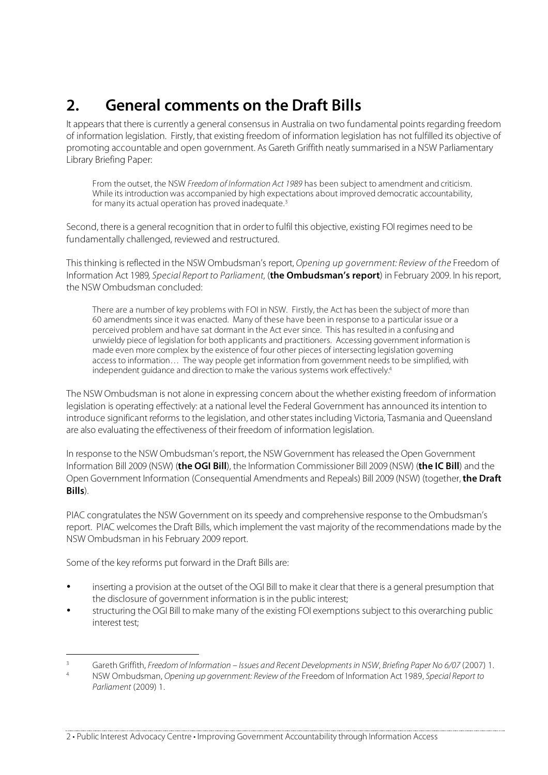# **2. General comments on the Draft Bills**

It appears that there is currently a general consensus in Australia on two fundamental points regarding freedom of information legislation. Firstly, that existing freedom of information legislation has not fulfilled its objective of promoting accountable and open government. As Gareth Griffith neatly summarised in a NSW Parliamentary Library Briefing Paper:

From the outset, the NSW Freedom of Information Act 1989 has been subject to amendment and criticism. While its introduction was accompanied by high expectations about improved democratic accountability, for many its actual operation has proved inadequate.<sup>3</sup>

Second, there is a general recognition that in order to fulfil this objective, existing FOI regimes need to be fundamentally challenged, reviewed and restructured.

This thinking is reflected in the NSW Ombudsman's report, Opening up government: Review of the Freedom of Information Act 1989, Special Report to Parliament, (**the Ombudsman's report**) in February 2009. In his report, the NSW Ombudsman concluded:

There are a number of key problems with FOI in NSW. Firstly, the Act has been the subject of more than 60 amendments since it was enacted. Many of these have been in response to a particular issue or a perceived problem and have sat dormant in the Act ever since. This has resulted in a confusing and unwieldy piece of legislation for both applicants and practitioners. Accessing government information is made even more complex by the existence of four other pieces of intersecting legislation governing access to information... The way people get information from government needs to be simplified, with independent guidance and direction to make the various systems work effectively.<sup>4</sup>

The NSW Ombudsman is not alone in expressing concern about the whether existing freedom of information legislation is operating effectively: at a national level the Federal Government has announced its intention to introduce significant reforms to the legislation, and other states including Victoria, Tasmania and Queensland are also evaluating the effectiveness of their freedom of information legislation.

In response to the NSW Ombudsman's report, the NSW Government has released the Open Government Information Bill 2009 (NSW) (**the OGI Bill**), the Information Commissioner Bill 2009 (NSW) (**the IC Bill**) and the Open Government Information (Consequential Amendments and Repeals) Bill 2009 (NSW) (together, **the Draft Bills**).

PIAC congratulates the NSW Government on its speedy and comprehensive response to the Ombudsman's report. PIAC welcomes the Draft Bills, which implement the vast majority of the recommendations made by the NSW Ombudsman in his February 2009 report.

Some of the key reforms put forward in the Draft Bills are:

- inserting a provision at the outset of the OGI Bill to make it clear that there is a general presumption that the disclosure of government information is in the public interest;
- structuring the OGI Bill to make many of the existing FOI exemptions subject to this overarching public interest test;

<sup>&</sup>lt;sup>3</sup> Gareth Griffith, Freedom of Information – Issues and Recent Developments in NSW, Briefing Paper No 6/07 (2007) 1.<br><sup>4</sup> NSW Ombudement Opening up agustament Paujau of the Freedom of Information Act 1990. Special Paper to

NSW Ombudsman, Opening up government: Review of the Freedom of Information Act 1989, Special Report to Parliament (2009) 1.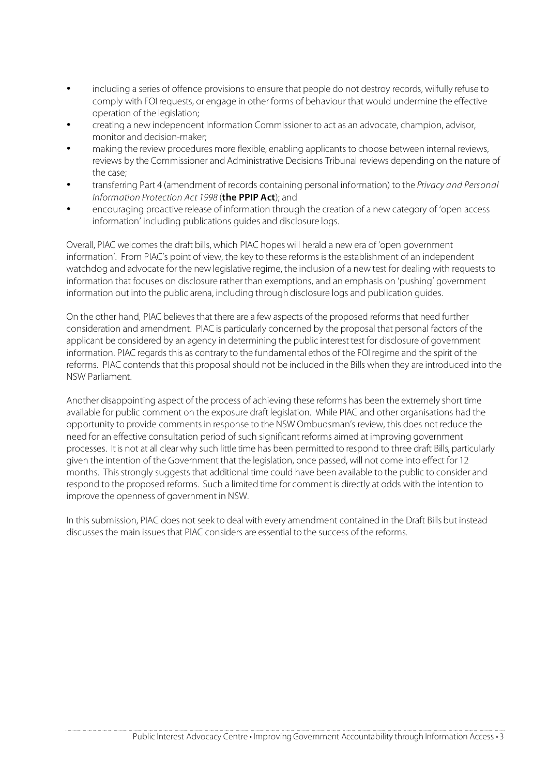- including a series of offence provisions to ensure that people do not destroy records, wilfully refuse to comply with FOI requests, or engage in other forms of behaviour that would undermine the effective operation of the legislation;
- creating a new independent Information Commissioner to act as an advocate, champion, advisor, monitor and decision-maker;
- making the review procedures more flexible, enabling applicants to choose between internal reviews, reviews by the Commissioner and Administrative Decisions Tribunal reviews depending on the nature of the case;
- transferring Part 4 (amendment of records containing personal information) to the Privacy and Personal Information Protection Act 1998 (**the PPIP Act**); and
- encouraging proactive release of information through the creation of a new category of 'open access information' including publications guides and disclosure logs.

Overall, PIAC welcomes the draft bills, which PIAC hopes will herald a new era of 'open government information'. From PIAC's point of view, the key to these reforms is the establishment of an independent watchdog and advocate for the new legislative regime, the inclusion of a new test for dealing with requests to information that focuses on disclosure rather than exemptions, and an emphasis on 'pushing' government information out into the public arena, including through disclosure logs and publication guides.

On the other hand, PIAC believes that there are a few aspects of the proposed reforms that need further consideration and amendment. PIAC is particularly concerned by the proposal that personal factors of the applicant be considered by an agency in determining the public interest test for disclosure of government information. PIAC regards this as contrary to the fundamental ethos of the FOI regime and the spirit of the reforms. PIAC contends that this proposal should not be included in the Bills when they are introduced into the NSW Parliament.

Another disappointing aspect of the process of achieving these reforms has been the extremely short time available for public comment on the exposure draft legislation. While PIAC and other organisations had the opportunity to provide comments in response to the NSW Ombudsman's review, this does not reduce the need for an effective consultation period of such significant reforms aimed at improving government processes. It is not at all clear why such little time has been permitted to respond to three draft Bills, particularly given the intention of the Government that the legislation, once passed, will not come into effect for 12 months. This strongly suggests that additional time could have been available to the public to consider and respond to the proposed reforms. Such a limited time for comment is directly at odds with the intention to improve the openness of government in NSW.

In this submission, PIAC does not seek to deal with every amendment contained in the Draft Bills but instead discusses the main issues that PIAC considers are essential to the success of the reforms.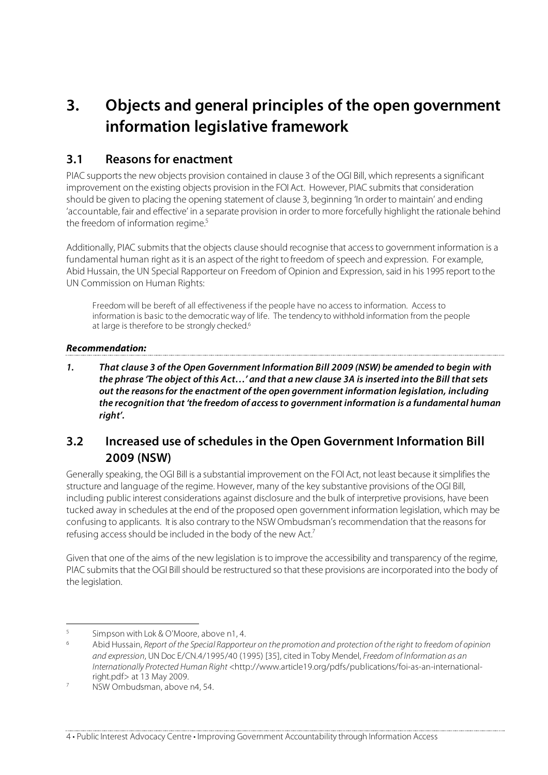# **3. Objects and general principles of the open government information legislative framework**

## **3.1 Reasons for enactment**

PIAC supports the new objects provision contained in clause 3 of the OGI Bill, which represents a significant improvement on the existing objects provision in the FOI Act. However, PIAC submits that consideration should be given to placing the opening statement of clause 3, beginning 'In order to maintain' and ending 'accountable, fair and effective' in a separate provision in order to more forcefully highlight the rationale behind the freedom of information regime.<sup>5</sup>

Additionally, PIAC submits that the objects clause should recognise that access to government information is a fundamental human right as it is an aspect of the right to freedom of speech and expression. For example, Abid Hussain, the UN Special Rapporteur on Freedom of Opinion and Expression, said in his 1995 report to the UN Commission on Human Rights:

Freedom will be bereft of all effectiveness if the people have no access to information. Access to information is basic to the democratic way of life. The tendency to withhold information from the people at large is therefore to be strongly checked.<sup>6</sup>

### **Recommendation:**

**1. That clause 3 of the Open Government Information Bill 2009 (NSW) be amended to begin with the phrase 'The object of this Act…' and that a new clause 3A is inserted into the Bill that sets out the reasons for the enactment of the open government information legislation, including the recognition that 'the freedom of access to government information is a fundamental human right'.**

## **3.2 Increased use of schedules in the Open Government Information Bill 2009 (NSW)**

Generally speaking, the OGI Bill is a substantial improvement on the FOI Act, not least because it simplifies the structure and language of the regime. However, many of the key substantive provisions of the OGI Bill, including public interest considerations against disclosure and the bulk of interpretive provisions, have been tucked away in schedules at the end of the proposed open government information legislation, which may be confusing to applicants. It is also contrary to the NSW Ombudsman's recommendation that the reasons for refusing access should be included in the body of the new Act.<sup>7</sup>

Given that one of the aims of the new legislation is to improve the accessibility and transparency of the regime, PIAC submits that the OGI Bill should be restructured so that these provisions are incorporated into the body of the legislation.

 $5$  Simpson with Lok & O'Moore, above n1, 4.

<sup>6</sup> Abid Hussain, Report of the Special Rapporteur on the promotion and protection of the right to freedom of opinion and expression, UN Doc E/CN.4/1995/40 (1995) [35], cited in Toby Mendel, Freedom of Information as an Internationally Protected Human Right <http://www.article19.org/pdfs/publications/foi-as-an-internationalright.pdf> at 13 May 2009.<br><sup>7</sup> NSW Ombudsman, above n4, 54.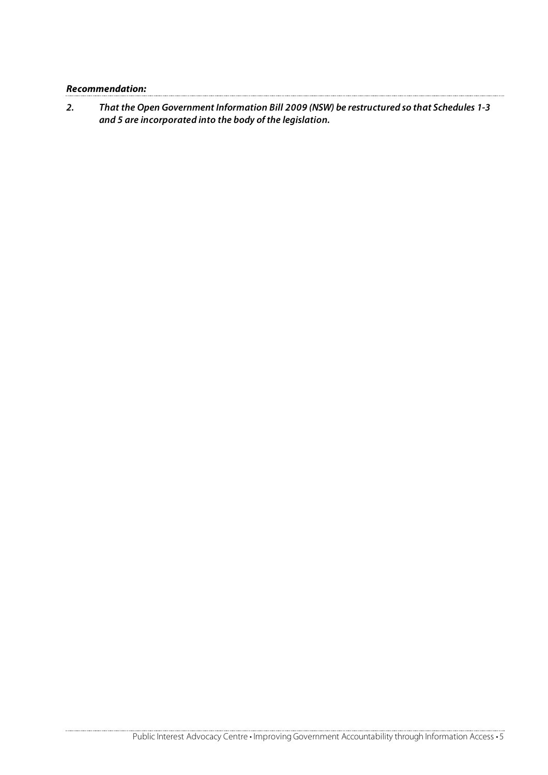**Recommendation:** 

**2. That the Open Government Information Bill 2009 (NSW) be restructured so that Schedules 1-3 and 5 are incorporated into the body of the legislation.**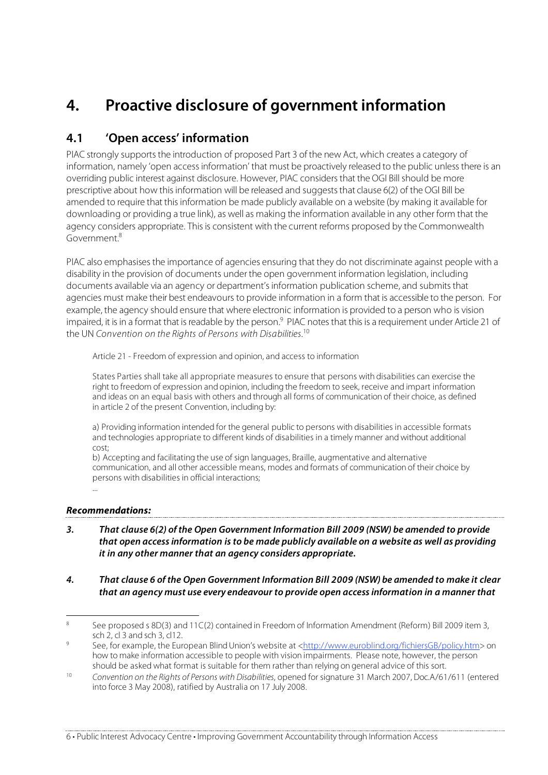# **4. Proactive disclosure of government information**

## **4.1 'Open access' information**

PIAC strongly supports the introduction of proposed Part 3 of the new Act, which creates a category of information, namely 'open access information' that must be proactively released to the public unless there is an overriding public interest against disclosure. However, PIAC considers that the OGI Bill should be more prescriptive about how this information will be released and suggests that clause 6(2) of the OGI Bill be amended to require that this information be made publicly available on a website (by making it available for downloading or providing a true link), as well as making the information available in any other form that the agency considers appropriate. This is consistent with the current reforms proposed by the Commonwealth Government.8

PIAC also emphasises the importance of agencies ensuring that they do not discriminate against people with a disability in the provision of documents under the open government information legislation, including documents available via an agency or department's information publication scheme, and submits that agencies must make their best endeavours to provide information in a form that is accessible to the person. For example, the agency should ensure that where electronic information is provided to a person who is vision impaired, it is in a format that is readable by the person.<sup>9</sup> PIAC notes that this is a requirement under Article 21 of the UN Convention on the Rights of Persons with Disabilities.<sup>10</sup>

Article 21 - Freedom of expression and opinion, and access to information

States Parties shall take all appropriate measures to ensure that persons with disabilities can exercise the right to freedom of expression and opinion, including the freedom to seek, receive and impart information and ideas on an equal basis with others and through all forms of communication of their choice, as defined in article 2 of the present Convention, including by:

a) Providing information intended for the general public to persons with disabilities in accessible formats and technologies appropriate to different kinds of disabilities in a timely manner and without additional cost;

b) Accepting and facilitating the use of sign languages, Braille, augmentative and alternative communication, and all other accessible means, modes and formats of communication of their choice by persons with disabilities in official interactions; ...

### **Recommendations:**

- **3. That clause 6(2) of the Open Government Information Bill 2009 (NSW) be amended to provide that open access information is to be made publicly available on a website as well as providing it in any other manner that an agency considers appropriate.**
- **4. That clause 6 of the Open Government Information Bill 2009 (NSW) be amended to make it clear that an agency must use every endeavour to provide open access information in a manner that**

<sup>&</sup>lt;sup>8</sup> See proposed s 8D(3) and 11C(2) contained in Freedom of Information Amendment (Reform) Bill 2009 item 3, sch 2, cl 3 and sch 3, cl12.

<sup>9</sup> See, for example, the European Blind Union's website at <http://www.euroblind.org/fichiersGB/policy.htm> on how to make information accessible to people with vision impairments. Please note, however, the person should be asked what format is suitable for them rather than relying on general advice of this sort.

<sup>&</sup>lt;sup>10</sup> Convention on the Rights of Persons with Disabilities, opened for signature 31 March 2007, Doc.A/61/611 (entered into force 3 May 2008), ratified by Australia on 17 July 2008.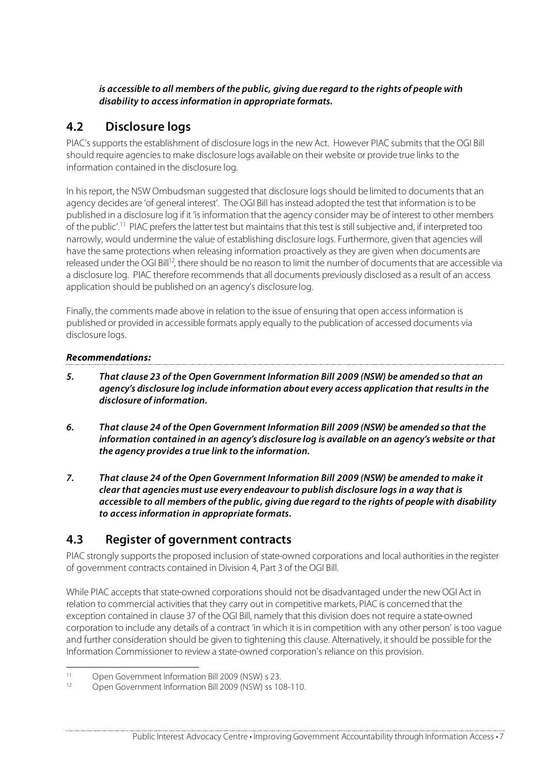#### **is accessible to all members of the public, giving due regard to the rights of people with disability to access information in appropriate formats.**

## **4.2 Disclosure logs**

PIAC's supports the establishment of disclosure logs in the new Act. However PIAC submits that the OGI Bill should require agencies to make disclosure logs available on their website or provide true links to the information contained in the disclosure log.

In his report, the NSW Ombudsman suggested that disclosure logs should be limited to documents that an agency decides are 'of general interest'. The OGI Bill has instead adopted the test that information is to be published in a disclosure log if it 'is information that the agency consider may be of interest to other members of the public'.11 PIAC prefers the latter test but maintains that this test is still subjective and, if interpreted too narrowly, would undermine the value of establishing disclosure logs. Furthermore, given that agencies will have the same protections when releasing information proactively as they are given when documents are released under the OGI Bill<sup>12</sup>, there should be no reason to limit the number of documents that are accessible via a disclosure log. PIAC therefore recommends that all documents previously disclosed as a result of an access application should be published on an agency's disclosure log.

Finally, the comments made above in relation to the issue of ensuring that open access information is published or provided in accessible formats apply equally to the publication of accessed documents via disclosure logs.

### **Recommendations:**

- **5. That clause 23 of the Open Government Information Bill 2009 (NSW) be amended so that an agency's disclosure log include information about every access application that results in the disclosure of information.**
- **6. That clause 24 of the Open Government Information Bill 2009 (NSW) be amended so that the information contained in an agency's disclosure log is available on an agency's website or that the agency provides a true link to the information.**
- **7. That clause 24 of the Open Government Information Bill 2009 (NSW) be amended to make it clear that agencies must use every endeavour to publish disclosure logs in a way that is accessible to all members of the public, giving due regard to the rights of people with disability to access information in appropriate formats.**

## **4.3 Register of government contracts**

PIAC strongly supports the proposed inclusion of state-owned corporations and local authorities in the register of government contracts contained in Division 4, Part 3 of the OGI Bill.

While PIAC accepts that state-owned corporations should not be disadvantaged under the new OGI Act in relation to commercial activities that they carry out in competitive markets, PIAC is concerned that the exception contained in clause 37 of the OGI Bill, namely that this division does not require a state-owned corporation to include any details of a contract 'in which it is in competition with any other person' is too vague and further consideration should be given to tightening this clause. Alternatively, it should be possible for the Information Commissioner to review a state-owned corporation's reliance on this provision.

<sup>11</sup> Open Government Information Bill 2009 (NSW) s 23.<br>
Open Government Information Bill 2009 (NSW) ss 10

<sup>12</sup> Open Government Information Bill 2009 (NSW) ss 108-110.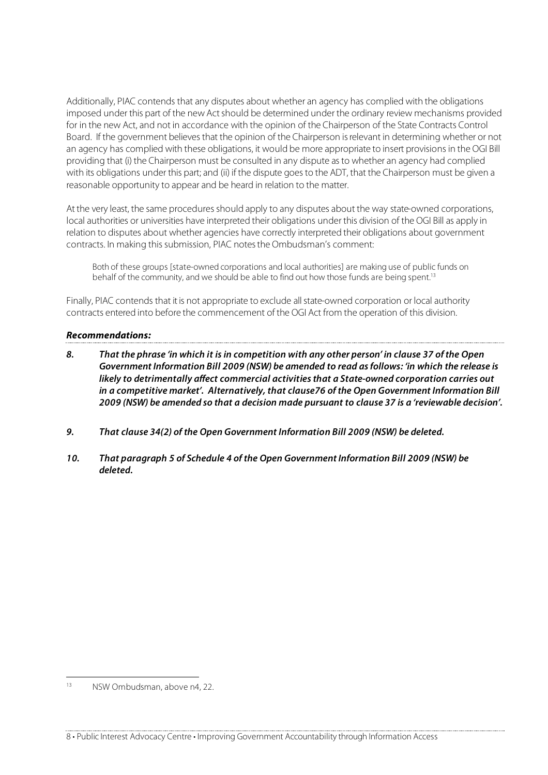Additionally, PIAC contends that any disputes about whether an agency has complied with the obligations imposed under this part of the new Act should be determined under the ordinary review mechanisms provided for in the new Act, and not in accordance with the opinion of the Chairperson of the State Contracts Control Board. If the government believes that the opinion of the Chairperson is relevant in determining whether or not an agency has complied with these obligations, it would be more appropriate to insert provisions in the OGI Bill providing that (i) the Chairperson must be consulted in any dispute as to whether an agency had complied with its obligations under this part; and (ii) if the dispute goes to the ADT, that the Chairperson must be given a reasonable opportunity to appear and be heard in relation to the matter.

At the very least, the same procedures should apply to any disputes about the way state-owned corporations, local authorities or universities have interpreted their obligations under this division of the OGI Bill as apply in relation to disputes about whether agencies have correctly interpreted their obligations about government contracts. In making this submission, PIAC notes the Ombudsman's comment:

Both of these groups [state-owned corporations and local authorities] are making use of public funds on behalf of the community, and we should be able to find out how those funds are being spent.<sup>13</sup>

Finally, PIAC contends that it is not appropriate to exclude all state-owned corporation or local authority contracts entered into before the commencement of the OGI Act from the operation of this division.

#### **Recommendations:**

- **8. That the phrase 'in which it is in competition with any other person' in clause 37 of the Open Government Information Bill 2009 (NSW) be amended to read as follows: 'in which the release is likely to detrimentally affect commercial activities that a State-owned corporation carries out in a competitive market'. Alternatively, that clause76 of the Open Government Information Bill 2009 (NSW) be amended so that a decision made pursuant to clause 37 is a 'reviewable decision'.**
- **9. That clause 34(2) of the Open Government Information Bill 2009 (NSW) be deleted.**
- **10. That paragraph 5 of Schedule 4 of the Open Government Information Bill 2009 (NSW) be deleted.**

 <sup>13</sup> NSW Ombudsman, above n4, 22.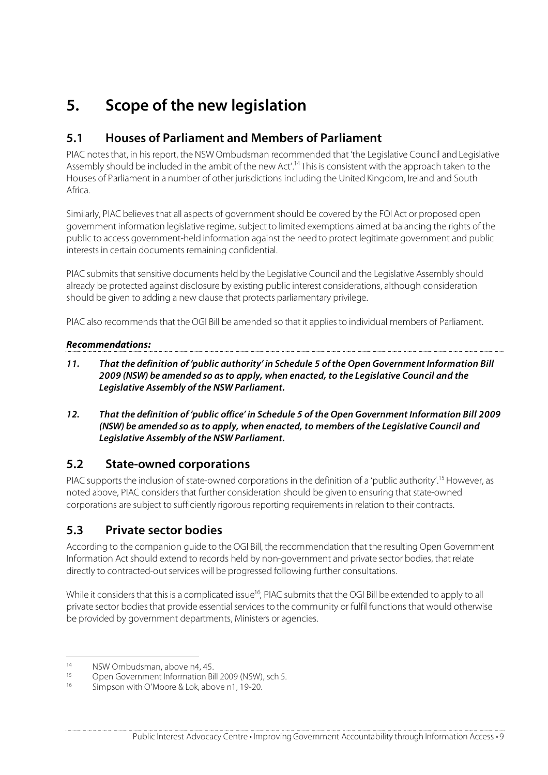# **5. Scope of the new legislation**

## **5.1 Houses of Parliament and Members of Parliament**

PIAC notes that, in his report, the NSW Ombudsman recommended that 'the Legislative Council and Legislative Assembly should be included in the ambit of the new Act'.14 This is consistent with the approach taken to the Houses of Parliament in a number of other jurisdictions including the United Kingdom, Ireland and South Africa.

Similarly, PIAC believes that all aspects of government should be covered by the FOI Act or proposed open government information legislative regime, subject to limited exemptions aimed at balancing the rights of the public to access government-held information against the need to protect legitimate government and public interests in certain documents remaining confidential.

PIAC submits that sensitive documents held by the Legislative Council and the Legislative Assembly should already be protected against disclosure by existing public interest considerations, although consideration should be given to adding a new clause that protects parliamentary privilege.

PIAC also recommends that the OGI Bill be amended so that it applies to individual members of Parliament.

### **Recommendations:**

- **11. That the definition of 'public authority' in Schedule 5 of the Open Government Information Bill 2009 (NSW) be amended so as to apply, when enacted, to the Legislative Council and the Legislative Assembly of the NSW Parliament.**
- **12. That the definition of 'public office' in Schedule 5 of the Open Government Information Bill 2009 (NSW) be amended so as to apply, when enacted, to members of the Legislative Council and Legislative Assembly of the NSW Parliament.**

## **5.2 State-owned corporations**

PIAC supports the inclusion of state-owned corporations in the definition of a 'public authority'.15 However, as noted above, PIAC considers that further consideration should be given to ensuring that state-owned corporations are subject to sufficiently rigorous reporting requirements in relation to their contracts.

## **5.3 Private sector bodies**

According to the companion guide to the OGI Bill, the recommendation that the resulting Open Government Information Act should extend to records held by non-government and private sector bodies, that relate directly to contracted-out services will be progressed following further consultations.

While it considers that this is a complicated issue<sup>16</sup>, PIAC submits that the OGI Bill be extended to apply to all private sector bodies that provide essential services to the community or fulfil functions that would otherwise be provided by government departments, Ministers or agencies.

<sup>&</sup>lt;sup>14</sup> NSW Ombudsman, above n4, 45.<br>
Open Government Information Ri

<sup>15</sup> Open Government Information Bill 2009 (NSW), sch 5.<br>16 Simpson with O'Moore 8 Lok above p1, 10, 20

Simpson with O'Moore & Lok, above n1, 19-20.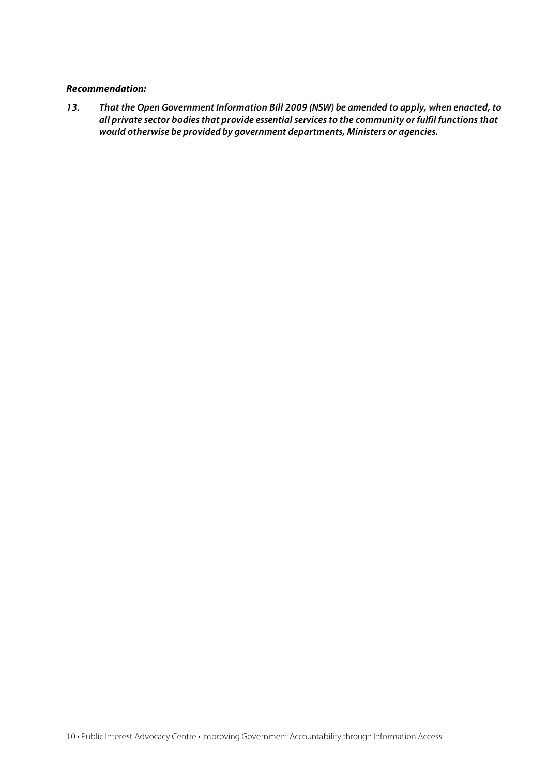| <b>Recommendation:</b> |  |
|------------------------|--|
|------------------------|--|

**13. That the Open Government Information Bill 2009 (NSW) be amended to apply, when enacted, to all private sector bodies that provide essential services to the community or fulfil functions that would otherwise be provided by government departments, Ministers or agencies.**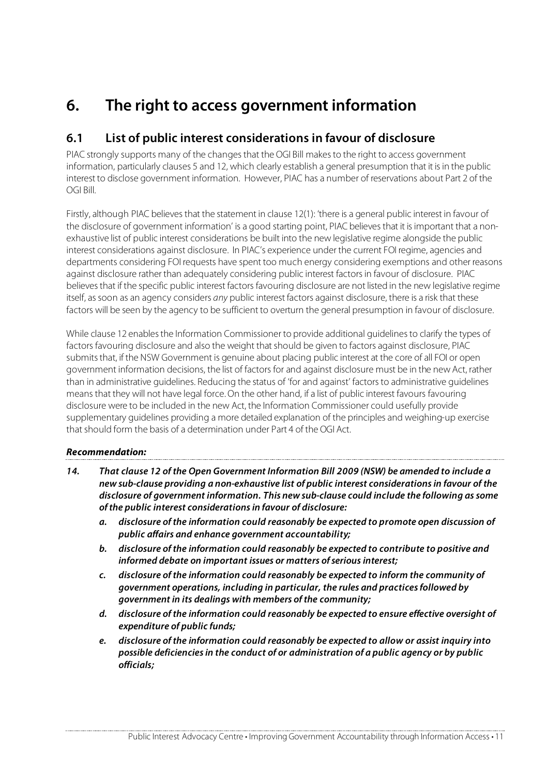# **6. The right to access government information**

## **6.1 List of public interest considerations in favour of disclosure**

PIAC strongly supports many of the changes that the OGI Bill makes to the right to access government information, particularly clauses 5 and 12, which clearly establish a general presumption that it is in the public interest to disclose government information. However, PIAC has a number of reservations about Part 2 of the OGI Bill.

Firstly, although PIAC believes that the statement in clause 12(1): 'there is a general public interest in favour of the disclosure of government information' is a good starting point, PIAC believes that it is important that a nonexhaustive list of public interest considerations be built into the new legislative regime alongside the public interest considerations against disclosure. In PIAC's experience under the current FOI regime, agencies and departments considering FOI requests have spent too much energy considering exemptions and other reasons against disclosure rather than adequately considering public interest factors in favour of disclosure. PIAC believes that if the specific public interest factors favouring disclosure are not listed in the new legislative regime itself, as soon as an agency considers any public interest factors against disclosure, there is a risk that these factors will be seen by the agency to be sufficient to overturn the general presumption in favour of disclosure.

While clause 12 enables the Information Commissioner to provide additional guidelines to clarify the types of factors favouring disclosure and also the weight that should be given to factors against disclosure, PIAC submits that, if the NSW Government is genuine about placing public interest at the core of all FOI or open government information decisions, the list of factors for and against disclosure must be in the new Act, rather than in administrative guidelines. Reducing the status of 'for and against' factors to administrative guidelines means that they will not have legal force. On the other hand, if a list of public interest favours favouring disclosure were to be included in the new Act, the Information Commissioner could usefully provide supplementary guidelines providing a more detailed explanation of the principles and weighing-up exercise that should form the basis of a determination under Part 4 of the OGI Act.

#### **Recommendation:**

- **14. That clause 12 of the Open Government Information Bill 2009 (NSW) be amended to include a new sub-clause providing a non-exhaustive list of public interest considerations in favour of the disclosure of government information. This new sub-clause could include the following as some of the public interest considerations in favour of disclosure:**
	- **a. disclosure of the information could reasonably be expected to promote open discussion of public affairs and enhance government accountability;**
	- **b. disclosure of the information could reasonably be expected to contribute to positive and informed debate on important issues or matters of serious interest;**
	- **c. disclosure of the information could reasonably be expected to inform the community of government operations, including in particular, the rules and practices followed by government in its dealings with members of the community;**
	- **d. disclosure of the information could reasonably be expected to ensure effective oversight of expenditure of public funds;**
	- **e. disclosure of the information could reasonably be expected to allow or assist inquiry into possible deficiencies in the conduct of or administration of a public agency or by public officials;**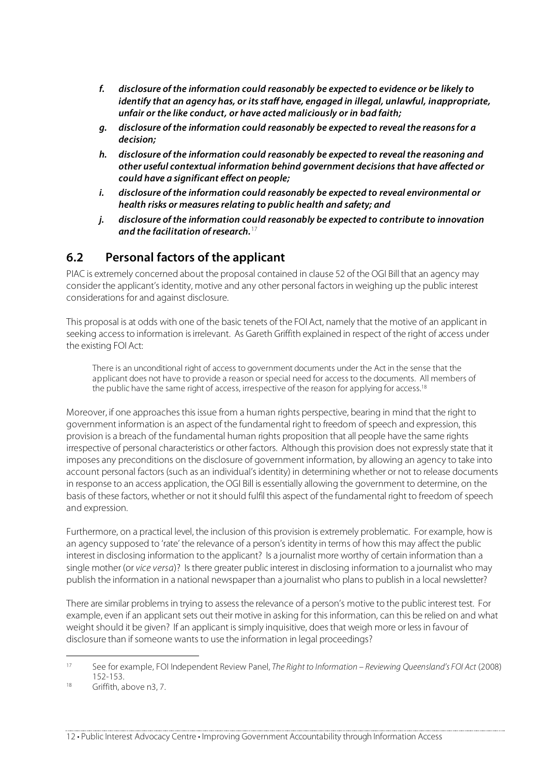- **f. disclosure of the information could reasonably be expected to evidence or be likely to identify that an agency has, or its staff have, engaged in illegal, unlawful, inappropriate, unfair or the like conduct, or have acted maliciously or in bad faith;**
- **g. disclosure of the information could reasonably be expected to reveal the reasons for a decision;**
- **h. disclosure of the information could reasonably be expected to reveal the reasoning and other useful contextual information behind government decisions that have affected or could have a significant effect on people;**
- **i. disclosure of the information could reasonably be expected to reveal environmental or health risks or measures relating to public health and safety; and**
- **j. disclosure of the information could reasonably be expected to contribute to innovation and the facilitation of research.**<sup>17</sup>

## **6.2 Personal factors of the applicant**

PIAC is extremely concerned about the proposal contained in clause 52 of the OGI Bill that an agency may consider the applicant's identity, motive and any other personal factors in weighing up the public interest considerations for and against disclosure.

This proposal is at odds with one of the basic tenets of the FOI Act, namely that the motive of an applicant in seeking access to information is irrelevant. As Gareth Griffith explained in respect of the right of access under the existing FOI Act:

There is an unconditional right of access to government documents under the Act in the sense that the applicant does not have to provide a reason or special need for access to the documents. All members of the public have the same right of access, irrespective of the reason for applying for access.<sup>18</sup>

Moreover, if one approaches this issue from a human rights perspective, bearing in mind that the right to government information is an aspect of the fundamental right to freedom of speech and expression, this provision is a breach of the fundamental human rights proposition that all people have the same rights irrespective of personal characteristics or other factors. Although this provision does not expressly state that it imposes any preconditions on the disclosure of government information, by allowing an agency to take into account personal factors (such as an individual's identity) in determining whether or not to release documents in response to an access application, the OGI Bill is essentially allowing the government to determine, on the basis of these factors, whether or not it should fulfil this aspect of the fundamental right to freedom of speech and expression.

Furthermore, on a practical level, the inclusion of this provision is extremely problematic. For example, how is an agency supposed to 'rate' the relevance of a person's identity in terms of how this may affect the public interest in disclosing information to the applicant? Is a journalist more worthy of certain information than a single mother (or vice versa)? Is there greater public interest in disclosing information to a journalist who may publish the information in a national newspaper than a journalist who plans to publish in a local newsletter?

There are similar problems in trying to assess the relevance of a person's motive to the public interest test. For example, even if an applicant sets out their motive in asking for this information, can this be relied on and what weight should it be given? If an applicant is simply inquisitive, does that weigh more or less in favour of disclosure than if someone wants to use the information in legal proceedings?

 <sup>17</sup> See for example, FOI Independent Review Panel, The Right to Information – Reviewing Queensland's FOI Act (2008) 152-153.

<sup>18</sup> Griffith, above n3, 7.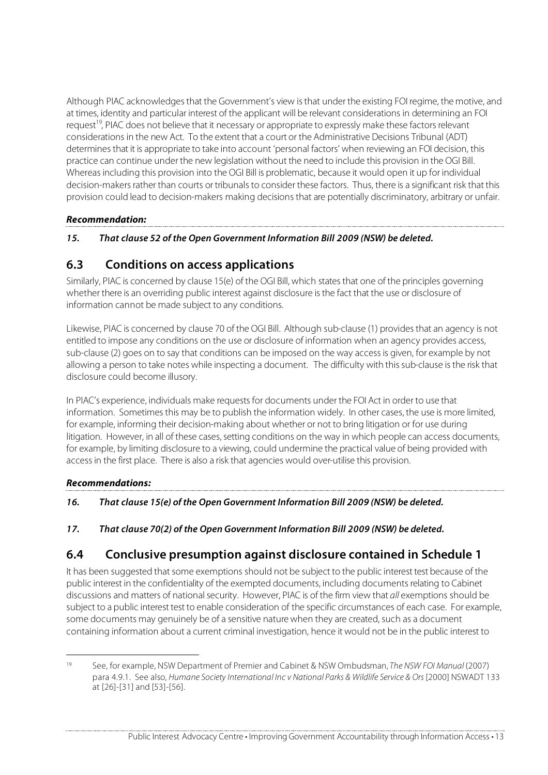Although PIAC acknowledges that the Government's view is that under the existing FOI regime, the motive, and at times, identity and particular interest of the applicant will be relevant considerations in determining an FOI request<sup>19</sup>, PIAC does not believe that it necessary or appropriate to expressly make these factors relevant considerations in the new Act. To the extent that a court or the Administrative Decisions Tribunal (ADT) determines that it is appropriate to take into account 'personal factors' when reviewing an FOI decision, this practice can continue under the new legislation without the need to include this provision in the OGI Bill. Whereas including this provision into the OGI Bill is problematic, because it would open it up for individual decision-makers rather than courts or tribunals to consider these factors. Thus, there is a significant risk that this provision could lead to decision-makers making decisions that are potentially discriminatory, arbitrary or unfair.

#### **Recommendation:**

**15. That clause 52 of the Open Government Information Bill 2009 (NSW) be deleted.**

## **6.3 Conditions on access applications**

Similarly, PIAC is concerned by clause 15(e) of the OGI Bill, which states that one of the principles governing whether there is an overriding public interest against disclosure is the fact that the use or disclosure of information cannot be made subject to any conditions.

Likewise, PIAC is concerned by clause 70 of the OGI Bill. Although sub-clause (1) provides that an agency is not entitled to impose any conditions on the use or disclosure of information when an agency provides access, sub-clause (2) goes on to say that conditions can be imposed on the way access is given, for example by not allowing a person to take notes while inspecting a document. The difficulty with this sub-clause is the risk that disclosure could become illusory.

In PIAC's experience, individuals make requests for documents under the FOI Act in order to use that information. Sometimes this may be to publish the information widely. In other cases, the use is more limited, for example, informing their decision-making about whether or not to bring litigation or for use during litigation. However, in all of these cases, setting conditions on the way in which people can access documents, for example, by limiting disclosure to a viewing, could undermine the practical value of being provided with access in the first place. There is also a risk that agencies would over-utilise this provision.

### **Recommendations:**

### **16. That clause 15(e) of the Open Government Information Bill 2009 (NSW) be deleted.**

### **17. That clause 70(2) of the Open Government Information Bill 2009 (NSW) be deleted.**

## **6.4 Conclusive presumption against disclosure contained in Schedule 1**

It has been suggested that some exemptions should not be subject to the public interest test because of the public interest in the confidentiality of the exempted documents, including documents relating to Cabinet discussions and matters of national security. However, PIAC is of the firm view that all exemptions should be subject to a public interest test to enable consideration of the specific circumstances of each case. For example, some documents may genuinely be of a sensitive nature when they are created, such as a document containing information about a current criminal investigation, hence it would not be in the public interest to

 <sup>19</sup> See, for example, NSW Department of Premier and Cabinet & NSW Ombudsman, The NSW FOI Manual (2007) para 4.9.1. See also, Humane Society International Inc v National Parks & Wildlife Service & Ors [2000] NSWADT 133 at [26]-[31] and [53]-[56].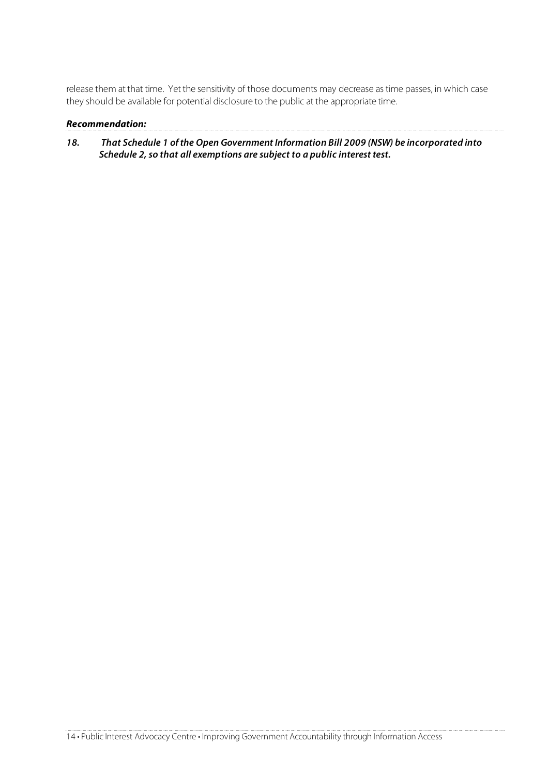release them at that time. Yet the sensitivity of those documents may decrease as time passes, in which case they should be available for potential disclosure to the public at the appropriate time.

#### **Recommendation:**

**18. That Schedule 1 of the Open Government Information Bill 2009 (NSW) be incorporated into Schedule 2, so that all exemptions are subject to a public interest test.**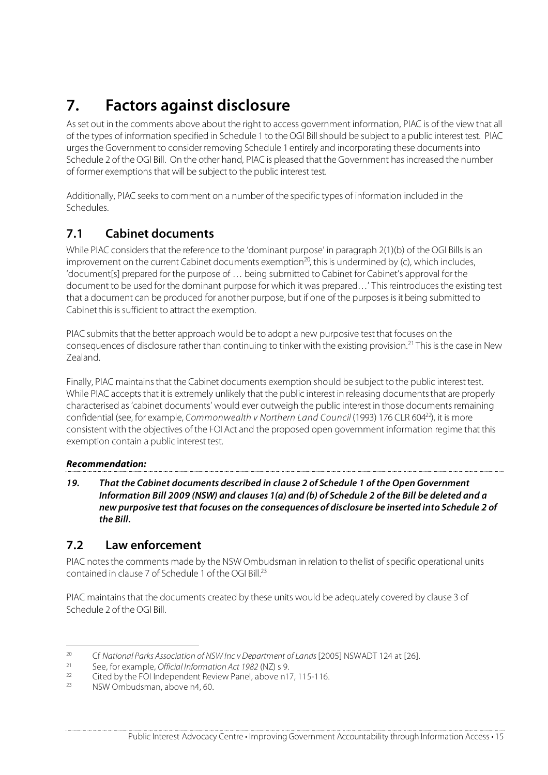# **7. Factors against disclosure**

As set out in the comments above about the right to access government information, PIAC is of the view that all of the types of information specified in Schedule 1 to the OGI Bill should be subject to a public interest test. PIAC urges the Government to consider removing Schedule 1 entirely and incorporating these documents into Schedule 2 of the OGI Bill. On the other hand, PIAC is pleased that the Government has increased the number of former exemptions that will be subject to the public interest test.

Additionally, PIAC seeks to comment on a number of the specific types of information included in the Schedules.

## **7.1 Cabinet documents**

While PIAC considers that the reference to the 'dominant purpose' in paragraph 2(1)(b) of the OGI Bills is an improvement on the current Cabinet documents exemption<sup>20</sup>, this is undermined by (c), which includes, 'document[s] prepared for the purpose of … being submitted to Cabinet for Cabinet's approval for the document to be used for the dominant purpose for which it was prepared…' This reintroduces the existing test that a document can be produced for another purpose, but if one of the purposes is it being submitted to Cabinet this is sufficient to attract the exemption.

PIAC submits that the better approach would be to adopt a new purposive test that focuses on the consequences of disclosure rather than continuing to tinker with the existing provision.21 This is the case in New Zealand.

Finally, PIAC maintains that the Cabinet documents exemption should be subject to the public interest test. While PIAC accepts that it is extremely unlikely that the public interest in releasing documents that are properly characterised as 'cabinet documents' would ever outweigh the public interest in those documents remaining confidential (see, for example, Commonwealth v Northern Land Council (1993) 176 CLR 604<sup>22</sup>), it is more consistent with the objectives of the FOI Act and the proposed open government information regime that this exemption contain a public interest test.

### **Recommendation:**

**19. That the Cabinet documents described in clause 2 of Schedule 1 of the Open Government Information Bill 2009 (NSW) and clauses 1(a) and (b) of Schedule 2 of the Bill be deleted and a new purposive test that focuses on the consequences of disclosure be inserted into Schedule 2 of the Bill.** 

## **7.2 Law enforcement**

PIAC notes the comments made by the NSW Ombudsman in relation to the list of specific operational units contained in clause 7 of Schedule 1 of the OGI Bill  $^{23}$ 

PIAC maintains that the documents created by these units would be adequately covered by clause 3 of Schedule 2 of the OGI Bill.

<sup>&</sup>lt;sup>20</sup> Cf National Parks Association of NSW Inc v Department of Lands [2005] NSWADT 124 at [26].

<sup>&</sup>lt;sup>21</sup> See, for example, *Official Information Act 1982* (NZ) s 9.<br> $22 \t{64}$  Site of buthe FOI Independent Parisus Papel, above n1.

<sup>&</sup>lt;sup>22</sup> Cited by the FOI Independent Review Panel, above n17, 115-116.<br><sup>23</sup> NISW Ombudsman, above n4, 60.

NSW Ombudsman, above n4, 60.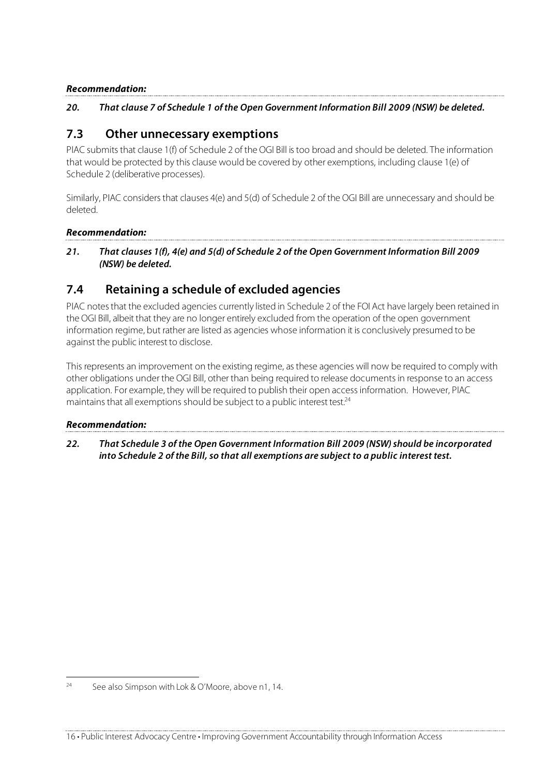#### **Recommendation:**

#### **20. That clause 7 of Schedule 1 of the Open Government Information Bill 2009 (NSW) be deleted.**

### **7.3 Other unnecessary exemptions**

PIAC submits that clause 1(f) of Schedule 2 of the OGI Bill is too broad and should be deleted. The information that would be protected by this clause would be covered by other exemptions, including clause 1(e) of Schedule 2 (deliberative processes).

Similarly, PIAC considers that clauses 4(e) and 5(d) of Schedule 2 of the OGI Bill are unnecessary and should be deleted.

#### **Recommendation:**

**21. That clauses 1(f), 4(e) and 5(d) of Schedule 2 of the Open Government Information Bill 2009 (NSW) be deleted.**

### **7.4 Retaining a schedule of excluded agencies**

PIAC notes that the excluded agencies currently listed in Schedule 2 of the FOI Act have largely been retained in the OGI Bill, albeit that they are no longer entirely excluded from the operation of the open government information regime, but rather are listed as agencies whose information it is conclusively presumed to be against the public interest to disclose.

This represents an improvement on the existing regime, as these agencies will now be required to comply with other obligations under the OGI Bill, other than being required to release documents in response to an access application. For example, they will be required to publish their open access information. However, PIAC maintains that all exemptions should be subject to a public interest test.<sup>24</sup>

#### **Recommendation:**

**22. That Schedule 3 of the Open Government Information Bill 2009 (NSW) should be incorporated into Schedule 2 of the Bill, so that all exemptions are subject to a public interest test.**

<sup>&</sup>lt;sup>24</sup> See also Simpson with Lok & O'Moore, above n1, 14.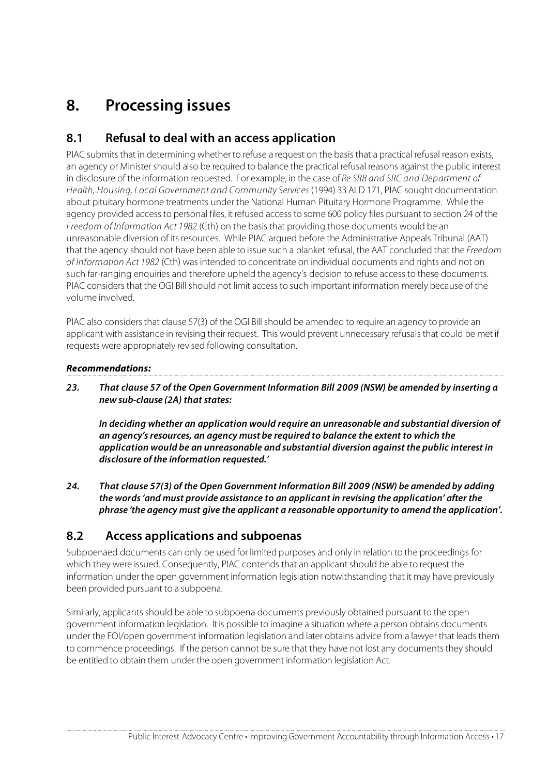# **8. Processing issues**

## **8.1 Refusal to deal with an access application**

PIAC submits that in determining whether to refuse a request on the basis that a practical refusal reason exists, an agency or Minister should also be required to balance the practical refusal reasons against the public interest in disclosure of the information requested. For example, in the case of Re SRB and SRC and Department of Health, Housing, Local Government and Community Services (1994) 33 ALD 171, PIAC sought documentation about pituitary hormone treatments under the National Human Pituitary Hormone Programme. While the agency provided access to personal files, it refused access to some 600 policy files pursuant to section 24 of the Freedom of Information Act 1982 (Cth) on the basis that providing those documents would be an unreasonable diversion of its resources. While PIAC argued before the Administrative Appeals Tribunal (AAT) that the agency should not have been able to issue such a blanket refusal, the AAT concluded that the Freedom of Information Act 1982 (Cth) was intended to concentrate on individual documents and rights and not on such far-ranging enquiries and therefore upheld the agency's decision to refuse access to these documents. PIAC considers that the OGI Bill should not limit access to such important information merely because of the volume involved.

PIAC also considers that clause 57(3) of the OGI Bill should be amended to require an agency to provide an applicant with assistance in revising their request. This would prevent unnecessary refusals that could be met if requests were appropriately revised following consultation.

#### **Recommendations:**

**23. That clause 57 of the Open Government Information Bill 2009 (NSW) be amended by inserting a new sub-clause (2A) that states:**

**In deciding whether an application would require an unreasonable and substantial diversion of an agency's resources, an agency must be required to balance the extent to which the application would be an unreasonable and substantial diversion against the public interest in disclosure of the information requested.'**

**24. That clause 57(3) of the Open Government Information Bill 2009 (NSW) be amended by adding the words 'and must provide assistance to an applicant in revising the application' after the phrase 'the agency must give the applicant a reasonable opportunity to amend the application'.**

## **8.2 Access applications and subpoenas**

Subpoenaed documents can only be used for limited purposes and only in relation to the proceedings for which they were issued. Consequently, PIAC contends that an applicant should be able to request the information under the open government information legislation notwithstanding that it may have previously been provided pursuant to a subpoena.

Similarly, applicants should be able to subpoena documents previously obtained pursuant to the open government information legislation. It is possible to imagine a situation where a person obtains documents under the FOI/open government information legislation and later obtains advice from a lawyer that leads them to commence proceedings. If the person cannot be sure that they have not lost any documents they should be entitled to obtain them under the open government information legislation Act.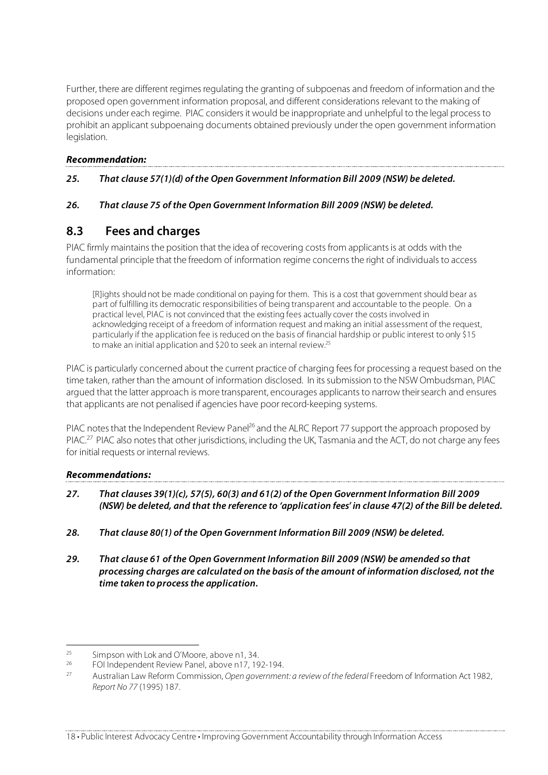Further, there are different regimes regulating the granting of subpoenas and freedom of information and the proposed open government information proposal, and different considerations relevant to the making of decisions under each regime. PIAC considers it would be inappropriate and unhelpful to the legal process to prohibit an applicant subpoenaing documents obtained previously under the open government information legislation.

#### **Recommendation:**

#### **25. That clause 57(1)(d) of the Open Government Information Bill 2009 (NSW) be deleted.**

#### **26. That clause 75 of the Open Government Information Bill 2009 (NSW) be deleted.**

## **8.3 Fees and charges**

PIAC firmly maintains the position that the idea of recovering costs from applicants is at odds with the fundamental principle that the freedom of information regime concerns the right of individuals to access information:

[R]ights should not be made conditional on paying for them. This is a cost that government should bear as part of fulfilling its democratic responsibilities of being transparent and accountable to the people. On a practical level, PIAC is not convinced that the existing fees actually cover the costs involved in acknowledging receipt of a freedom of information request and making an initial assessment of the request, particularly if the application fee is reduced on the basis of financial hardship or public interest to only \$15 to make an initial application and \$20 to seek an internal review.<sup>25</sup>

PIAC is particularly concerned about the current practice of charging fees for processing a request based on the time taken, rather than the amount of information disclosed. In its submission to the NSW Ombudsman, PIAC argued that the latter approach is more transparent, encourages applicants to narrow their search and ensures that applicants are not penalised if agencies have poor record-keeping systems.

PIAC notes that the Independent Review Panel<sup>26</sup> and the ALRC Report 77 support the approach proposed by PIAC.<sup>27</sup> PIAC also notes that other jurisdictions, including the UK, Tasmania and the ACT, do not charge any fees for initial requests or internal reviews.

### **Recommendations:**

- **27. That clauses 39(1)(c), 57(5), 60(3) and 61(2) of the Open Government Information Bill 2009 (NSW) be deleted, and that the reference to 'application fees' in clause 47(2) of the Bill be deleted.**
- **28. That clause 80(1) of the Open Government Information Bill 2009 (NSW) be deleted.**
- **29. That clause 61 of the Open Government Information Bill 2009 (NSW) be amended so that processing charges are calculated on the basis of the amount of information disclosed, not the time taken to process the application.**

<sup>&</sup>lt;sup>25</sup> Simpson with Lok and O'Moore, above n1, 34.<br> $^{26}$  EQU independent Poview Banel, above n17, 10

<sup>&</sup>lt;sup>26</sup> FOI Independent Review Panel, above n17, 192-194.

Australian Law Reform Commission, Open government: a review of the federal Freedom of Information Act 1982, Report No 77 (1995) 187.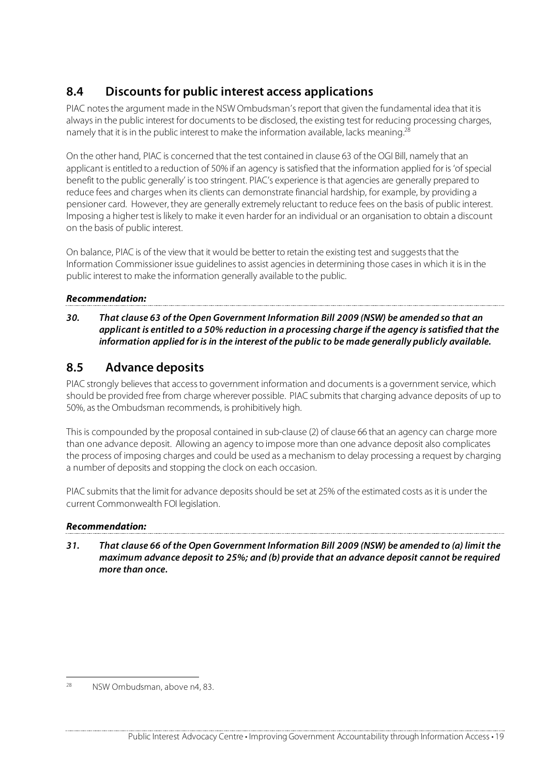## **8.4 Discounts for public interest access applications**

PIAC notes the argument made in the NSW Ombudsman's report that given the fundamental idea that it is always in the public interest for documents to be disclosed, the existing test for reducing processing charges, namely that it is in the public interest to make the information available, lacks meaning.<sup>28</sup>

On the other hand, PIAC is concerned that the test contained in clause 63 of the OGI Bill, namely that an applicant is entitled to a reduction of 50% if an agency is satisfied that the information applied for is 'of special benefit to the public generally' is too stringent. PIAC's experience is that agencies are generally prepared to reduce fees and charges when its clients can demonstrate financial hardship, for example, by providing a pensioner card. However, they are generally extremely reluctant to reduce fees on the basis of public interest. Imposing a higher test is likely to make it even harder for an individual or an organisation to obtain a discount on the basis of public interest.

On balance, PIAC is of the view that it would be better to retain the existing test and suggests that the Information Commissioner issue guidelines to assist agencies in determining those cases in which it is in the public interest to make the information generally available to the public.

### **Recommendation:**

**30. That clause 63 of the Open Government Information Bill 2009 (NSW) be amended so that an applicant is entitled to a 50% reduction in a processing charge if the agency is satisfied that the information applied for is in the interest of the public to be made generally publicly available.** 

## **8.5 Advance deposits**

PIAC strongly believes that access to government information and documents is a government service, which should be provided free from charge wherever possible. PIAC submits that charging advance deposits of up to 50%, as the Ombudsman recommends, is prohibitively high.

This is compounded by the proposal contained in sub-clause (2) of clause 66 that an agency can charge more than one advance deposit. Allowing an agency to impose more than one advance deposit also complicates the process of imposing charges and could be used as a mechanism to delay processing a request by charging a number of deposits and stopping the clock on each occasion.

PIAC submits that the limit for advance deposits should be set at 25% of the estimated costs as it is under the current Commonwealth FOI legislation.

### **Recommendation:**

**31. That clause 66 of the Open Government Information Bill 2009 (NSW) be amended to (a) limit the maximum advance deposit to 25%; and (b) provide that an advance deposit cannot be required more than once.**

 <sup>28</sup> NSW Ombudsman, above n4, 83.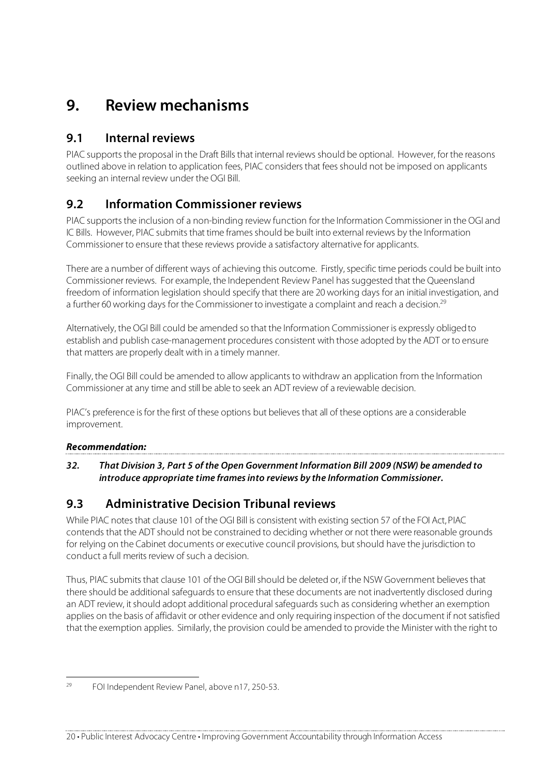## **9. Review mechanisms**

## **9.1 Internal reviews**

PIAC supports the proposal in the Draft Bills that internal reviews should be optional. However, for the reasons outlined above in relation to application fees, PIAC considers that fees should not be imposed on applicants seeking an internal review under the OGI Bill.

## **9.2 Information Commissioner reviews**

PIAC supports the inclusion of a non-binding review function for the Information Commissioner in the OGI and IC Bills. However, PIAC submits that time frames should be built into external reviews by the Information Commissioner to ensure that these reviews provide a satisfactory alternative for applicants.

There are a number of different ways of achieving this outcome. Firstly, specific time periods could be built into Commissioner reviews. For example, the Independent Review Panel has suggested that the Queensland freedom of information legislation should specify that there are 20 working days for an initial investigation, and a further 60 working days for the Commissioner to investigate a complaint and reach a decision.<sup>29</sup>

Alternatively, the OGI Bill could be amended so that the Information Commissioner is expressly obliged to establish and publish case-management procedures consistent with those adopted by the ADT or to ensure that matters are properly dealt with in a timely manner.

Finally, the OGI Bill could be amended to allow applicants to withdraw an application from the Information Commissioner at any time and still be able to seek an ADT review of a reviewable decision.

PIAC's preference is for the first of these options but believes that all of these options are a considerable improvement.

### **Recommendation:**

**32. That Division 3, Part 5 of the Open Government Information Bill 2009 (NSW) be amended to introduce appropriate time frames into reviews by the Information Commissioner.**

## **9.3 Administrative Decision Tribunal reviews**

While PIAC notes that clause 101 of the OGI Bill is consistent with existing section 57 of the FOI Act, PIAC contends that the ADT should not be constrained to deciding whether or not there were reasonable grounds for relying on the Cabinet documents or executive council provisions, but should have the jurisdiction to conduct a full merits review of such a decision.

Thus, PIAC submits that clause 101 of the OGI Bill should be deleted or, if the NSW Government believes that there should be additional safeguards to ensure that these documents are not inadvertently disclosed during an ADT review, it should adopt additional procedural safeguards such as considering whether an exemption applies on the basis of affidavit or other evidence and only requiring inspection of the document if not satisfied that the exemption applies. Similarly, the provision could be amended to provide the Minister with the right to

 <sup>29</sup> FOI Independent Review Panel, above n17, 250-53.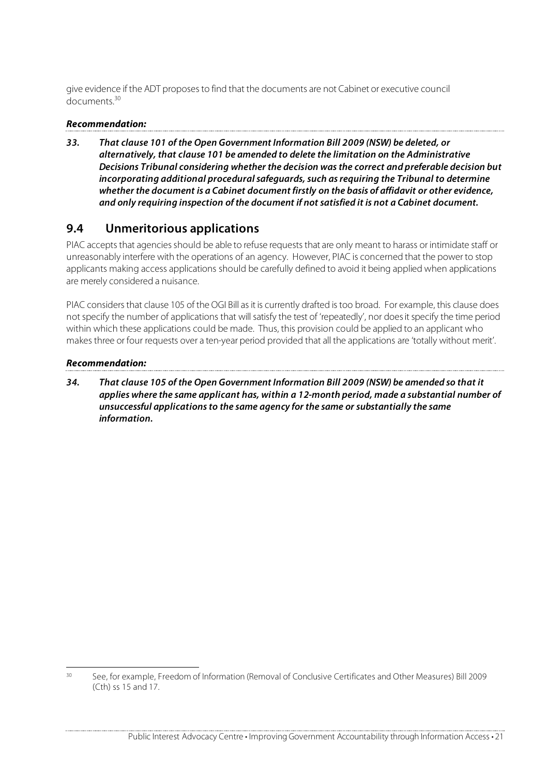give evidence if the ADT proposes to find that the documents are not Cabinet or executive council documents<sup>30</sup>

#### **Recommendation:**

**33. That clause 101 of the Open Government Information Bill 2009 (NSW) be deleted, or alternatively, that clause 101 be amended to delete the limitation on the Administrative Decisions Tribunal considering whether the decision was the correct and preferable decision but incorporating additional procedural safeguards, such as requiring the Tribunal to determine whether the document is a Cabinet document firstly on the basis of affidavit or other evidence, and only requiring inspection of the document if not satisfied it is not a Cabinet document.** 

### **9.4 Unmeritorious applications**

PIAC accepts that agencies should be able to refuse requests that are only meant to harass or intimidate staff or unreasonably interfere with the operations of an agency. However, PIAC is concerned that the power to stop applicants making access applications should be carefully defined to avoid it being applied when applications are merely considered a nuisance.

PIAC considers that clause 105 of the OGI Bill as it is currently drafted is too broad. For example, this clause does not specify the number of applications that will satisfy the test of 'repeatedly', nor does it specify the time period within which these applications could be made. Thus, this provision could be applied to an applicant who makes three or four requests over a ten-year period provided that all the applications are 'totally without merit'.

#### **Recommendation:**

**34. That clause 105 of the Open Government Information Bill 2009 (NSW) be amended so that it applies where the same applicant has, within a 12-month period, made a substantial number of unsuccessful applications to the same agency for the same or substantially the same information.**

 <sup>30</sup> See, for example, Freedom of Information (Removal of Conclusive Certificates and Other Measures) Bill 2009 (Cth) ss 15 and 17.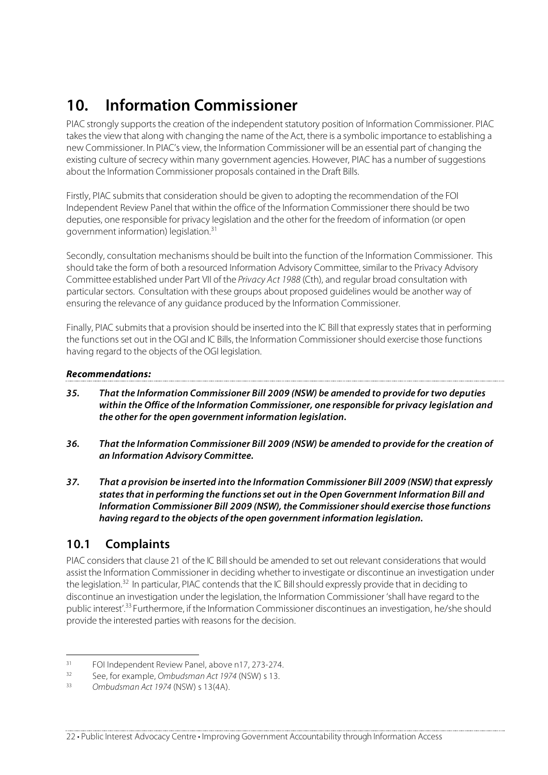# **10. Information Commissioner**

PIAC strongly supports the creation of the independent statutory position of Information Commissioner. PIAC takes the view that along with changing the name of the Act, there is a symbolic importance to establishing a new Commissioner. In PIAC's view, the Information Commissioner will be an essential part of changing the existing culture of secrecy within many government agencies. However, PIAC has a number of suggestions about the Information Commissioner proposals contained in the Draft Bills.

Firstly, PIAC submits that consideration should be given to adopting the recommendation of the FOI Independent Review Panel that within the office of the Information Commissioner there should be two deputies, one responsible for privacy legislation and the other for the freedom of information (or open government information) legislation.<sup>31</sup>

Secondly, consultation mechanisms should be built into the function of the Information Commissioner. This should take the form of both a resourced Information Advisory Committee, similar to the Privacy Advisory Committee established under Part VII of the Privacy Act 1988 (Cth), and regular broad consultation with particular sectors. Consultation with these groups about proposed guidelines would be another way of ensuring the relevance of any guidance produced by the Information Commissioner.

Finally, PIAC submits that a provision should be inserted into the IC Bill that expressly states that in performing the functions set out in the OGI and IC Bills, the Information Commissioner should exercise those functions having regard to the objects of the OGI legislation.

### **Recommendations:**

- **35. That the Information Commissioner Bill 2009 (NSW) be amended to provide for two deputies within the Office of the Information Commissioner, one responsible for privacy legislation and the other for the open government information legislation.**
- **36. That the Information Commissioner Bill 2009 (NSW) be amended to provide for the creation of an Information Advisory Committee.**
- **37.** That a provision be inserted into the Information Commissioner Bill 2009 (NSW) that expressly **states that in performing the functions set out in the Open Government Information Bill and Information Commissioner Bill 2009 (NSW), the Commissioner should exercise those functions having regard to the objects of the open government information legislation.**

## **10.1 Complaints**

PIAC considers that clause 21 of the IC Bill should be amended to set out relevant considerations that would assist the Information Commissioner in deciding whether to investigate or discontinue an investigation under the legislation.<sup>32</sup> In particular, PIAC contends that the IC Bill should expressly provide that in deciding to discontinue an investigation under the legislation, the Information Commissioner 'shall have regard to the public interest'.33 Furthermore, if the Information Commissioner discontinues an investigation, he/she should provide the interested parties with reasons for the decision.

 $31$  FOI Independent Review Panel, above n17, 273-274.

<sup>&</sup>lt;sup>32</sup> See, for example, Ombudsman Act 1974 (NSW) s 13.<br>33 Ombudsman Act 1974 (NSW) s 12(4A)

Ombudsman Act 1974 (NSW) s 13(4A).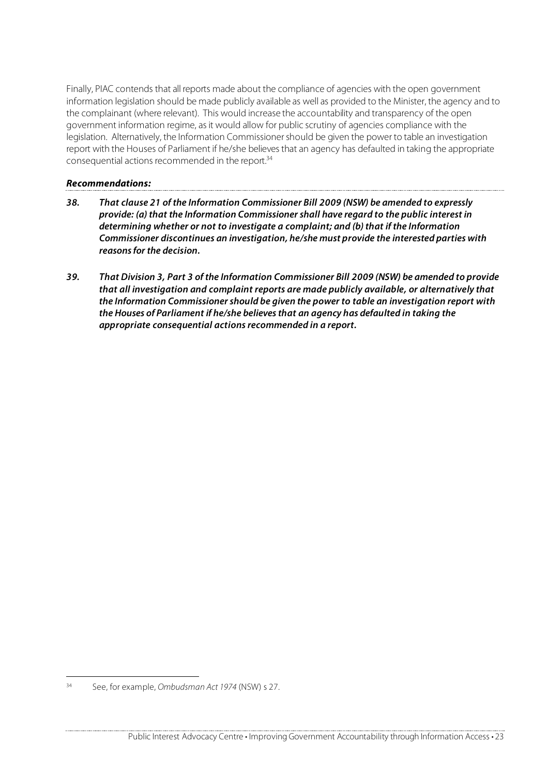Finally, PIAC contends that all reports made about the compliance of agencies with the open government information legislation should be made publicly available as well as provided to the Minister, the agency and to the complainant (where relevant). This would increase the accountability and transparency of the open government information regime, as it would allow for public scrutiny of agencies compliance with the legislation. Alternatively, the Information Commissioner should be given the power to table an investigation report with the Houses of Parliament if he/she believes that an agency has defaulted in taking the appropriate consequential actions recommended in the report.<sup>34</sup>

#### **Recommendations:**

- **38. That clause 21 of the Information Commissioner Bill 2009 (NSW) be amended to expressly provide: (a) that the Information Commissioner shall have regard to the public interest in determining whether or not to investigate a complaint; and (b) that if the Information Commissioner discontinues an investigation, he/she must provide the interested parties with reasons for the decision.**
- **39. That Division 3, Part 3 of the Information Commissioner Bill 2009 (NSW) be amended to provide that all investigation and complaint reports are made publicly available, or alternatively that the Information Commissioner should be given the power to table an investigation report with the Houses of Parliament if he/she believes that an agency has defaulted in taking the appropriate consequential actions recommended in a report.**

 <sup>34</sup> See, for example, Ombudsman Act 1974 (NSW) s 27.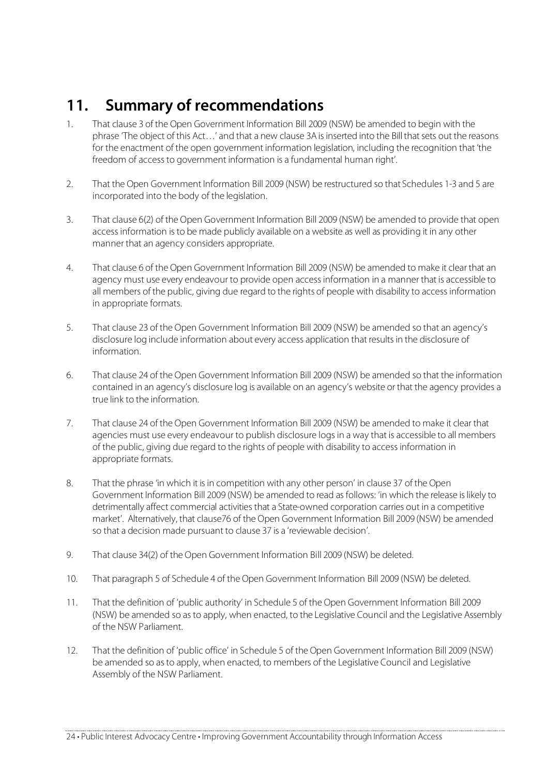## **11. Summary of recommendations**

- 1. That clause 3 of the Open Government Information Bill 2009 (NSW) be amended to begin with the phrase 'The object of this Act…' and that a new clause 3A is inserted into the Bill that sets out the reasons for the enactment of the open government information legislation, including the recognition that 'the freedom of access to government information is a fundamental human right'.
- 2. That the Open Government Information Bill 2009 (NSW) be restructured so that Schedules 1-3 and 5 are incorporated into the body of the legislation.
- 3. That clause 6(2) of the Open Government Information Bill 2009 (NSW) be amended to provide that open access information is to be made publicly available on a website as well as providing it in any other manner that an agency considers appropriate.
- 4. That clause 6 of the Open Government Information Bill 2009 (NSW) be amended to make it clear that an agency must use every endeavour to provide open access information in a manner that is accessible to all members of the public, giving due regard to the rights of people with disability to access information in appropriate formats.
- 5. That clause 23 of the Open Government Information Bill 2009 (NSW) be amended so that an agency's disclosure log include information about every access application that results in the disclosure of information.
- 6. That clause 24 of the Open Government Information Bill 2009 (NSW) be amended so that the information contained in an agency's disclosure log is available on an agency's website or that the agency provides a true link to the information.
- 7. That clause 24 of the Open Government Information Bill 2009 (NSW) be amended to make it clear that agencies must use every endeavour to publish disclosure logs in a way that is accessible to all members of the public, giving due regard to the rights of people with disability to access information in appropriate formats.
- 8. That the phrase 'in which it is in competition with any other person' in clause 37 of the Open Government Information Bill 2009 (NSW) be amended to read as follows: 'in which the release is likely to detrimentally affect commercial activities that a State-owned corporation carries out in a competitive market'. Alternatively, that clause76 of the Open Government Information Bill 2009 (NSW) be amended so that a decision made pursuant to clause 37 is a 'reviewable decision'.
- 9. That clause 34(2) of the Open Government Information Bill 2009 (NSW) be deleted.
- 10. That paragraph 5 of Schedule 4 of the Open Government Information Bill 2009 (NSW) be deleted.
- 11. That the definition of 'public authority' in Schedule 5 of the Open Government Information Bill 2009 (NSW) be amended so as to apply, when enacted, to the Legislative Council and the Legislative Assembly of the NSW Parliament.
- 12. That the definition of 'public office' in Schedule 5 of the Open Government Information Bill 2009 (NSW) be amended so as to apply, when enacted, to members of the Legislative Council and Legislative Assembly of the NSW Parliament.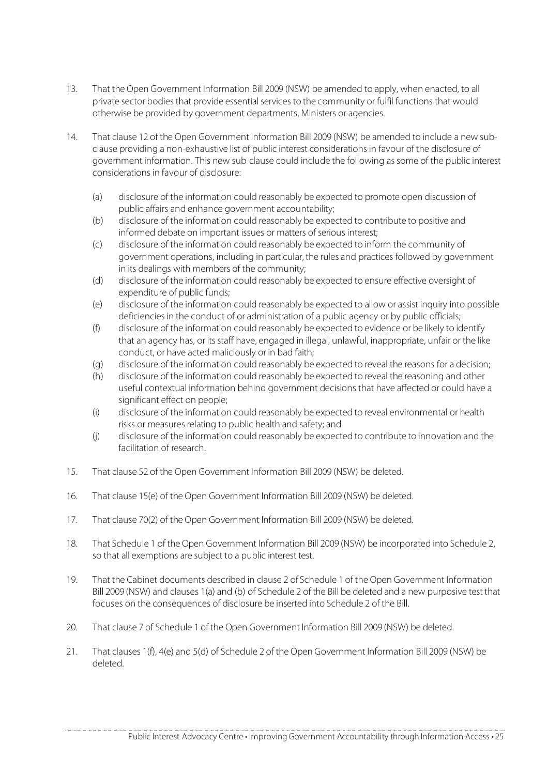- 13. That the Open Government Information Bill 2009 (NSW) be amended to apply, when enacted, to all private sector bodies that provide essential services to the community or fulfil functions that would otherwise be provided by government departments, Ministers or agencies.
- 14. That clause 12 of the Open Government Information Bill 2009 (NSW) be amended to include a new subclause providing a non-exhaustive list of public interest considerations in favour of the disclosure of government information. This new sub-clause could include the following as some of the public interest considerations in favour of disclosure:
	- (a) disclosure of the information could reasonably be expected to promote open discussion of public affairs and enhance government accountability;
	- (b) disclosure of the information could reasonably be expected to contribute to positive and informed debate on important issues or matters of serious interest;
	- (c) disclosure of the information could reasonably be expected to inform the community of government operations, including in particular, the rules and practices followed by government in its dealings with members of the community;
	- (d) disclosure of the information could reasonably be expected to ensure effective oversight of expenditure of public funds;
	- (e) disclosure of the information could reasonably be expected to allow or assist inquiry into possible deficiencies in the conduct of or administration of a public agency or by public officials;
	- (f) disclosure of the information could reasonably be expected to evidence or be likely to identify that an agency has, or its staff have, engaged in illegal, unlawful, inappropriate, unfair or the like conduct, or have acted maliciously or in bad faith;
	- (g) disclosure of the information could reasonably be expected to reveal the reasons for a decision;
	- (h) disclosure of the information could reasonably be expected to reveal the reasoning and other useful contextual information behind government decisions that have affected or could have a significant effect on people;
	- (i) disclosure of the information could reasonably be expected to reveal environmental or health risks or measures relating to public health and safety; and
	- (j) disclosure of the information could reasonably be expected to contribute to innovation and the facilitation of research.
- 15. That clause 52 of the Open Government Information Bill 2009 (NSW) be deleted.
- 16. That clause 15(e) of the Open Government Information Bill 2009 (NSW) be deleted.
- 17. That clause 70(2) of the Open Government Information Bill 2009 (NSW) be deleted.
- 18. That Schedule 1 of the Open Government Information Bill 2009 (NSW) be incorporated into Schedule 2, so that all exemptions are subject to a public interest test.
- 19. That the Cabinet documents described in clause 2 of Schedule 1 of the Open Government Information Bill 2009 (NSW) and clauses 1(a) and (b) of Schedule 2 of the Bill be deleted and a new purposive test that focuses on the consequences of disclosure be inserted into Schedule 2 of the Bill.
- 20. That clause 7 of Schedule 1 of the Open Government Information Bill 2009 (NSW) be deleted.
- 21. That clauses 1(f), 4(e) and 5(d) of Schedule 2 of the Open Government Information Bill 2009 (NSW) be deleted.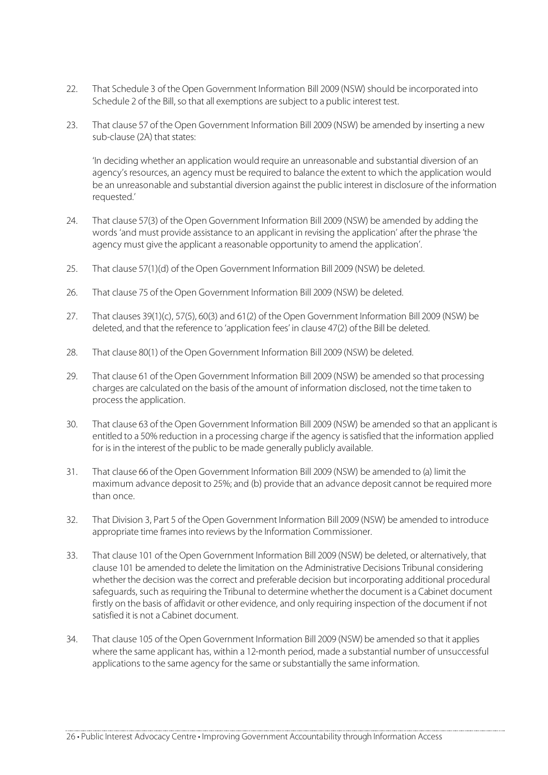- 22. That Schedule 3 of the Open Government Information Bill 2009 (NSW) should be incorporated into Schedule 2 of the Bill, so that all exemptions are subject to a public interest test.
- 23. That clause 57 of the Open Government Information Bill 2009 (NSW) be amended by inserting a new sub-clause (2A) that states:

'In deciding whether an application would require an unreasonable and substantial diversion of an agency's resources, an agency must be required to balance the extent to which the application would be an unreasonable and substantial diversion against the public interest in disclosure of the information requested.'

- 24. That clause 57(3) of the Open Government Information Bill 2009 (NSW) be amended by adding the words 'and must provide assistance to an applicant in revising the application' after the phrase 'the agency must give the applicant a reasonable opportunity to amend the application'.
- 25. That clause 57(1)(d) of the Open Government Information Bill 2009 (NSW) be deleted.
- 26. That clause 75 of the Open Government Information Bill 2009 (NSW) be deleted.
- 27. That clauses 39(1)(c), 57(5), 60(3) and 61(2) of the Open Government Information Bill 2009 (NSW) be deleted, and that the reference to 'application fees' in clause 47(2) of the Bill be deleted.
- 28. That clause 80(1) of the Open Government Information Bill 2009 (NSW) be deleted.
- 29. That clause 61 of the Open Government Information Bill 2009 (NSW) be amended so that processing charges are calculated on the basis of the amount of information disclosed, not the time taken to process the application.
- 30. That clause 63 of the Open Government Information Bill 2009 (NSW) be amended so that an applicant is entitled to a 50% reduction in a processing charge if the agency is satisfied that the information applied for is in the interest of the public to be made generally publicly available.
- 31. That clause 66 of the Open Government Information Bill 2009 (NSW) be amended to (a) limit the maximum advance deposit to 25%; and (b) provide that an advance deposit cannot be required more than once.
- 32. That Division 3, Part 5 of the Open Government Information Bill 2009 (NSW) be amended to introduce appropriate time frames into reviews by the Information Commissioner.
- 33. That clause 101 of the Open Government Information Bill 2009 (NSW) be deleted, or alternatively, that clause 101 be amended to delete the limitation on the Administrative Decisions Tribunal considering whether the decision was the correct and preferable decision but incorporating additional procedural safeguards, such as requiring the Tribunal to determine whether the document is a Cabinet document firstly on the basis of affidavit or other evidence, and only requiring inspection of the document if not satisfied it is not a Cabinet document.
- 34. That clause 105 of the Open Government Information Bill 2009 (NSW) be amended so that it applies where the same applicant has, within a 12-month period, made a substantial number of unsuccessful applications to the same agency for the same or substantially the same information.